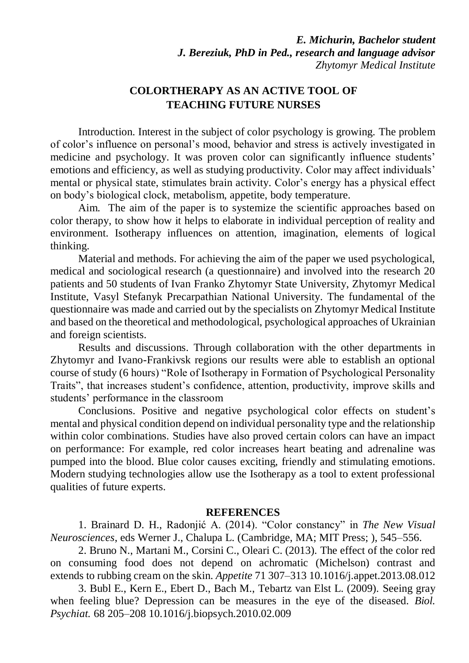## **COLORTHERAPY AS AN ACTIVE TOOL OF TEACHING FUTURE NURSES**

Introduction. Interest in the subject of color psychology is growing. The problem of color's influence on personal's mood, behavior and stress is actively investigated in medicine and psychology. It was proven color can significantly influence students' emotions and efficiency, as well as studying productivity. Color may affect individuals' mental or physical state, stimulates brain activity. Color's energy has a physical effect on body's biological clock, metabolism, appetite, body temperature.

Aim. The aim of the paper is to systemize the scientific approaches based on color therapy, to show how it helps to elaborate in individual perception of reality and environment. Isotherapy influences on attention, imagination, elements of logical thinking.

Material and methods. For achieving the aim of the paper we used psychological, medical and sociological research (a questionnaire) and involved into the research 20 patients and 50 students of Ivan Franko Zhytomyr State University, Zhytomyr Medical Institute, Vasyl Stefanyk Precarpathian National University. The fundamental of the questionnaire was made and carried out by the specialists on Zhytomyr Medical Institute and based on the theoretical and methodological, psychological approaches of Ukrainian and foreign scientists.

Results and discussions. Through collaboration with the other departments in Zhytomyr and Ivano-Frankivsk regions our results were able to establish an optional course of study (6 hours) "Role of Isotherapy in Formation of Psychological Personality Traits", that increases student's confidence, attention, productivity, improve skills and students' performance in the classroom

Conclusions. Positive and negative psychological color effects on student's mental and physical condition depend on individual personality type and the relationship within color combinations. Studies have also proved certain colors can have an impact on performance: For example, red color increases heart beating and adrenaline was pumped into the blood. Blue color causes exciting, friendly and stimulating emotions. Modern studying technologies allow use the Isotherapy as a tool to extent professional qualities of future experts.

## **REFERENCES**

1. Brainard D. H., Radonjić A. (2014). "Color constancy" in *The New Visual Neurosciences*, eds Werner J., Chalupa L. (Cambridge, MA; MIT Press; ), 545–556.

2. Bruno N., Martani M., Corsini C., Oleari C. (2013). The effect of the color red on consuming food does not depend on achromatic (Michelson) contrast and extends to rubbing cream on the skin. *Appetite* 71 307–313 10.1016/j.appet.2013.08.012

3. Bubl E., Kern E., Ebert D., Bach M., Tebartz van Elst L. (2009). Seeing gray when feeling blue? Depression can be measures in the eye of the diseased. *Biol. Psychiat.* 68 205–208 10.1016/j.biopsych.2010.02.009